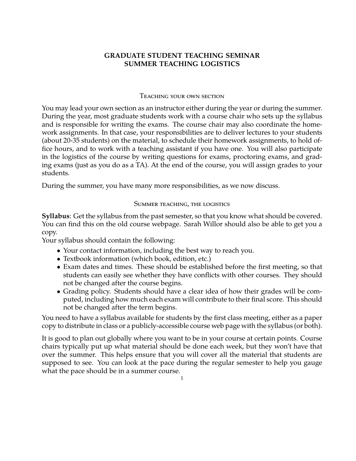## **GRADUATE STUDENT TEACHING SEMINAR SUMMER TEACHING LOGISTICS**

## Teaching your own section

You may lead your own section as an instructor either during the year or during the summer. During the year, most graduate students work with a course chair who sets up the syllabus and is responsible for writing the exams. The course chair may also coordinate the homework assignments. In that case, your responsibilities are to deliver lectures to your students (about 20-35 students) on the material, to schedule their homework assignments, to hold office hours, and to work with a teaching assistant if you have one. You will also participate in the logistics of the course by writing questions for exams, proctoring exams, and grading exams (just as you do as a TA). At the end of the course, you will assign grades to your students.

During the summer, you have many more responsibilities, as we now discuss.

## Summer teaching, the logistics

**Syllabus**: Get the syllabus from the past semester, so that you know what should be covered. You can find this on the old course webpage. Sarah Willor should also be able to get you a copy.

Your syllabus should contain the following:

- Your contact information, including the best way to reach you.
- Textbook information (which book, edition, etc.)
- Exam dates and times. These should be established before the first meeting, so that students can easily see whether they have conflicts with other courses. They should not be changed after the course begins.
- Grading policy. Students should have a clear idea of how their grades will be computed, including how much each exam will contribute to their final score. This should not be changed after the term begins.

You need to have a syllabus available for students by the first class meeting, either as a paper copy to distribute in class or a publicly-accessible course web page with the syllabus (or both).

It is good to plan out globally where you want to be in your course at certain points. Course chairs typically put up what material should be done each week, but they won't have that over the summer. This helps ensure that you will cover all the material that students are supposed to see. You can look at the pace during the regular semester to help you gauge what the pace should be in a summer course.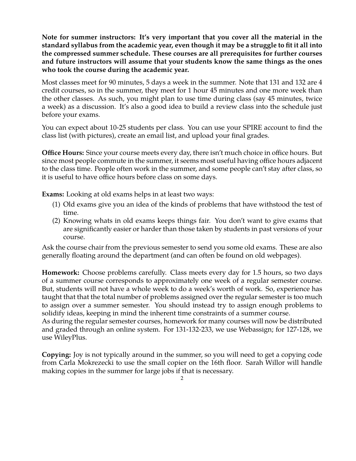**Note for summer instructors: It's very important that you cover all the material in the standard syllabus from the academic year, even though it may be a struggle to fit it all into the compressed summer schedule. These courses are all prerequisites for further courses and future instructors will assume that your students know the same things as the ones who took the course during the academic year.**

Most classes meet for 90 minutes, 5 days a week in the summer. Note that 131 and 132 are 4 credit courses, so in the summer, they meet for 1 hour 45 minutes and one more week than the other classes. As such, you might plan to use time during class (say 45 minutes, twice a week) as a discussion. It's also a good idea to build a review class into the schedule just before your exams.

You can expect about 10-25 students per class. You can use your SPIRE account to find the class list (with pictures), create an email list, and upload your final grades.

**Office Hours:** Since your course meets every day, there isn't much choice in office hours. But since most people commute in the summer, it seems most useful having office hours adjacent to the class time. People often work in the summer, and some people can't stay after class, so it is useful to have office hours before class on some days.

**Exams:** Looking at old exams helps in at least two ways:

- (1) Old exams give you an idea of the kinds of problems that have withstood the test of time.
- (2) Knowing whats in old exams keeps things fair. You don't want to give exams that are significantly easier or harder than those taken by students in past versions of your course.

Ask the course chair from the previous semester to send you some old exams. These are also generally floating around the department (and can often be found on old webpages).

**Homework:** Choose problems carefully. Class meets every day for 1.5 hours, so two days of a summer course corresponds to approximately one week of a regular semester course. But, students will not have a whole week to do a week's worth of work. So, experience has taught that that the total number of problems assigned over the regular semester is too much to assign over a summer semester. You should instead try to assign enough problems to solidify ideas, keeping in mind the inherent time constraints of a summer course.

As during the regular semester courses, homework for many courses will now be distributed and graded through an online system. For 131-132-233, we use Webassign; for 127-128, we use WileyPlus.

**Copying:** Joy is not typically around in the summer, so you will need to get a copying code from Carla Mokrezecki to use the small copier on the 16th floor. Sarah Willor will handle making copies in the summer for large jobs if that is necessary.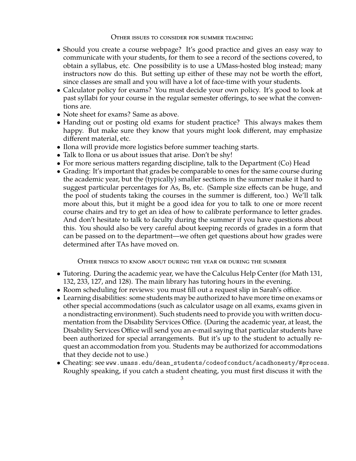## Other issues to consider for summer teaching

- Should you create a course webpage? It's good practice and gives an easy way to communicate with your students, for them to see a record of the sections covered, to obtain a syllabus, etc. One possibility is to use a UMass-hosted blog instead; many instructors now do this. But setting up either of these may not be worth the effort, since classes are small and you will have a lot of face-time with your students.
- Calculator policy for exams? You must decide your own policy. It's good to look at past syllabi for your course in the regular semester offerings, to see what the conventions are.
- Note sheet for exams? Same as above.
- Handing out or posting old exams for student practice? This always makes them happy. But make sure they know that yours might look different, may emphasize different material, etc.
- Ilona will provide more logistics before summer teaching starts.
- Talk to Ilona or us about issues that arise. Don't be shy!
- For more serious matters regarding discipline, talk to the Department (Co) Head
- Grading: It's important that grades be comparable to ones for the same course during the academic year, but the (typically) smaller sections in the summer make it hard to suggest particular percentages for As, Bs, etc. (Sample size effects can be huge, and the pool of students taking the courses in the summer is different, too.) We'll talk more about this, but it might be a good idea for you to talk to one or more recent course chairs and try to get an idea of how to calibrate performance to letter grades. And don't hesitate to talk to faculty during the summer if you have questions about this. You should also be very careful about keeping records of grades in a form that can be passed on to the department—we often get questions about how grades were determined after TAs have moved on.

Other things to know about during the year or during the summer

- Tutoring. During the academic year, we have the Calculus Help Center (for Math 131, 132, 233, 127, and 128). The main library has tutoring hours in the evening.
- Room scheduling for reviews: you must fill out a request slip in Sarah's office.
- Learning disabilities: some students may be authorized to have more time on exams or other special accommodations (such as calculator usage on all exams, exams given in a nondistracting environment). Such students need to provide you with written documentation from the Disability Services Office. (During the academic year, at least, the Disability Services Office will send you an e-mail saying that particular students have been authorized for special arrangements. But it's up to the student to actually request an accommodation from you. Students may be authorized for accommodations that they decide not to use.)
- Cheating: see www.umass.edu/dean\_students/codeofconduct/acadhonesty/#process. Roughly speaking, if you catch a student cheating, you must first discuss it with the